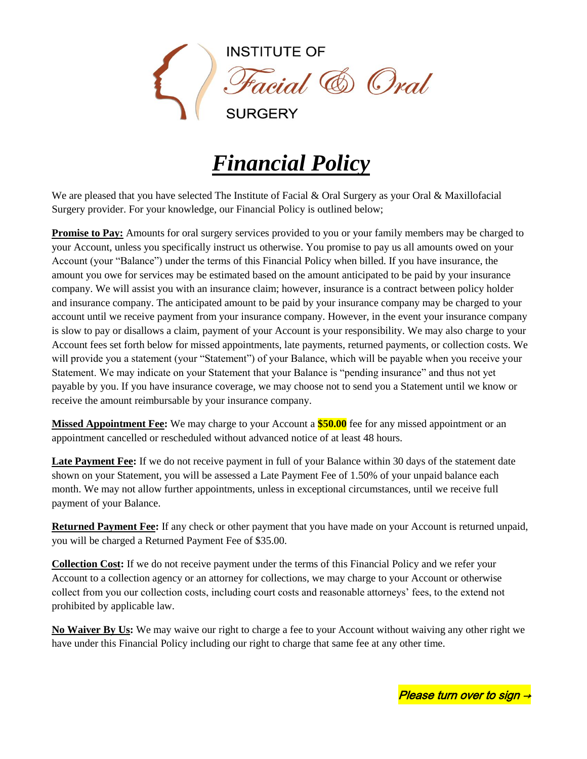

## *Financial Policy*

We are pleased that you have selected The Institute of Facial & Oral Surgery as your Oral & Maxillofacial Surgery provider. For your knowledge, our Financial Policy is outlined below;

**Promise to Pay:** Amounts for oral surgery services provided to you or your family members may be charged to your Account, unless you specifically instruct us otherwise. You promise to pay us all amounts owed on your Account (your "Balance") under the terms of this Financial Policy when billed. If you have insurance, the amount you owe for services may be estimated based on the amount anticipated to be paid by your insurance company. We will assist you with an insurance claim; however, insurance is a contract between policy holder and insurance company. The anticipated amount to be paid by your insurance company may be charged to your account until we receive payment from your insurance company. However, in the event your insurance company is slow to pay or disallows a claim, payment of your Account is your responsibility. We may also charge to your Account fees set forth below for missed appointments, late payments, returned payments, or collection costs. We will provide you a statement (your "Statement") of your Balance, which will be payable when you receive your Statement. We may indicate on your Statement that your Balance is "pending insurance" and thus not yet payable by you. If you have insurance coverage, we may choose not to send you a Statement until we know or receive the amount reimbursable by your insurance company.

**Missed Appointment Fee:** We may charge to your Account a **\$50.00** fee for any missed appointment or an appointment cancelled or rescheduled without advanced notice of at least 48 hours.

**Late Payment Fee:** If we do not receive payment in full of your Balance within 30 days of the statement date shown on your Statement, you will be assessed a Late Payment Fee of 1.50% of your unpaid balance each month. We may not allow further appointments, unless in exceptional circumstances, until we receive full payment of your Balance.

**Returned Payment Fee:** If any check or other payment that you have made on your Account is returned unpaid, you will be charged a Returned Payment Fee of \$35.00.

**Collection Cost:** If we do not receive payment under the terms of this Financial Policy and we refer your Account to a collection agency or an attorney for collections, we may charge to your Account or otherwise collect from you our collection costs, including court costs and reasonable attorneys' fees, to the extend not prohibited by applicable law.

**No Waiver By Us:** We may waive our right to charge a fee to your Account without waiving any other right we have under this Financial Policy including our right to charge that same fee at any other time.